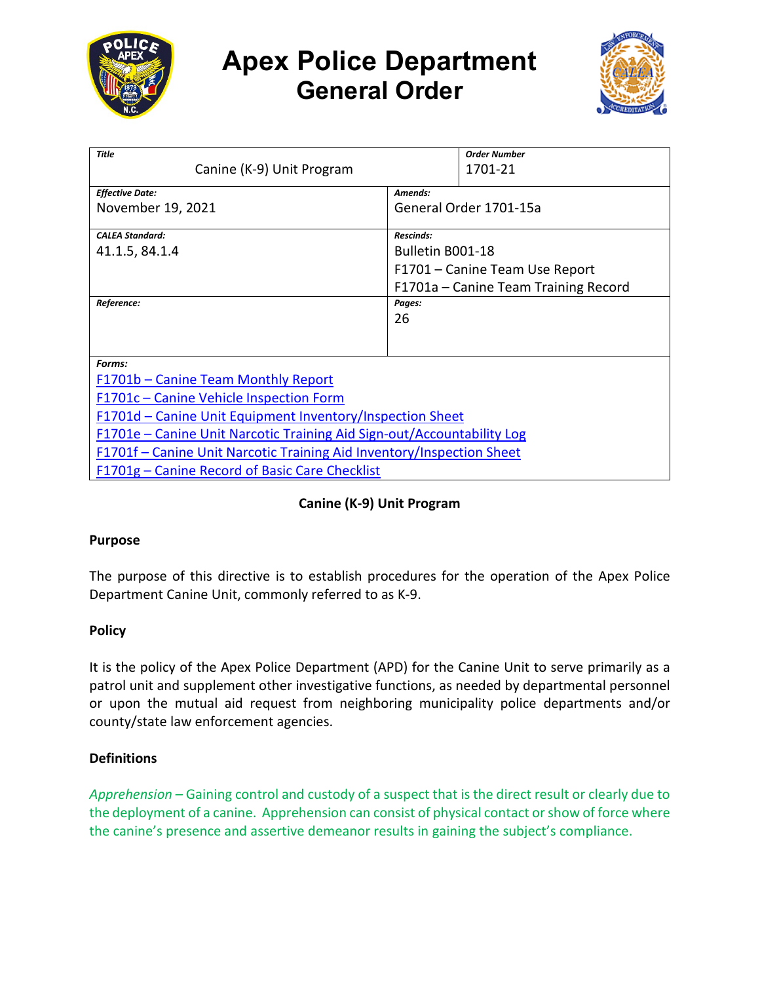

# **Apex Police Department General Order**



| <b>Title</b>                                                           | <b>Order Number</b>                  |
|------------------------------------------------------------------------|--------------------------------------|
| Canine (K-9) Unit Program                                              | 1701-21                              |
| <b>Effective Date:</b>                                                 | Amends:                              |
| November 19, 2021                                                      | General Order 1701-15a               |
| <b>CALFA Standard:</b>                                                 | <b>Rescinds:</b>                     |
| 41.1.5, 84.1.4                                                         | Bulletin B001-18                     |
|                                                                        | F1701 - Canine Team Use Report       |
|                                                                        | F1701a – Canine Team Training Record |
| Reference:                                                             | Pages:                               |
|                                                                        | 26                                   |
|                                                                        |                                      |
| Forms:                                                                 |                                      |
| F1701b - Canine Team Monthly Report                                    |                                      |
| F1701c – Canine Vehicle Inspection Form                                |                                      |
| F1701d – Canine Unit Equipment Inventory/Inspection Sheet              |                                      |
| F1701e - Canine Unit Narcotic Training Aid Sign-out/Accountability Log |                                      |
| F1701f – Canine Unit Narcotic Training Aid Inventory/Inspection Sheet  |                                      |
| F1701g – Canine Record of Basic Care Checklist                         |                                      |

# **Canine (K-9) Unit Program**

# **Purpose**

The purpose of this directive is to establish procedures for the operation of the Apex Police Department Canine Unit, commonly referred to as K-9.

# **Policy**

It is the policy of the Apex Police Department (APD) for the Canine Unit to serve primarily as a patrol unit and supplement other investigative functions, as needed by departmental personnel or upon the mutual aid request from neighboring municipality police departments and/or county/state law enforcement agencies.

#### **Definitions**

*Apprehension –* Gaining control and custody of a suspect that is the direct result or clearly due to the deployment of a canine. Apprehension can consist of physical contact or show of force where the canine's presence and assertive demeanor results in gaining the subject's compliance.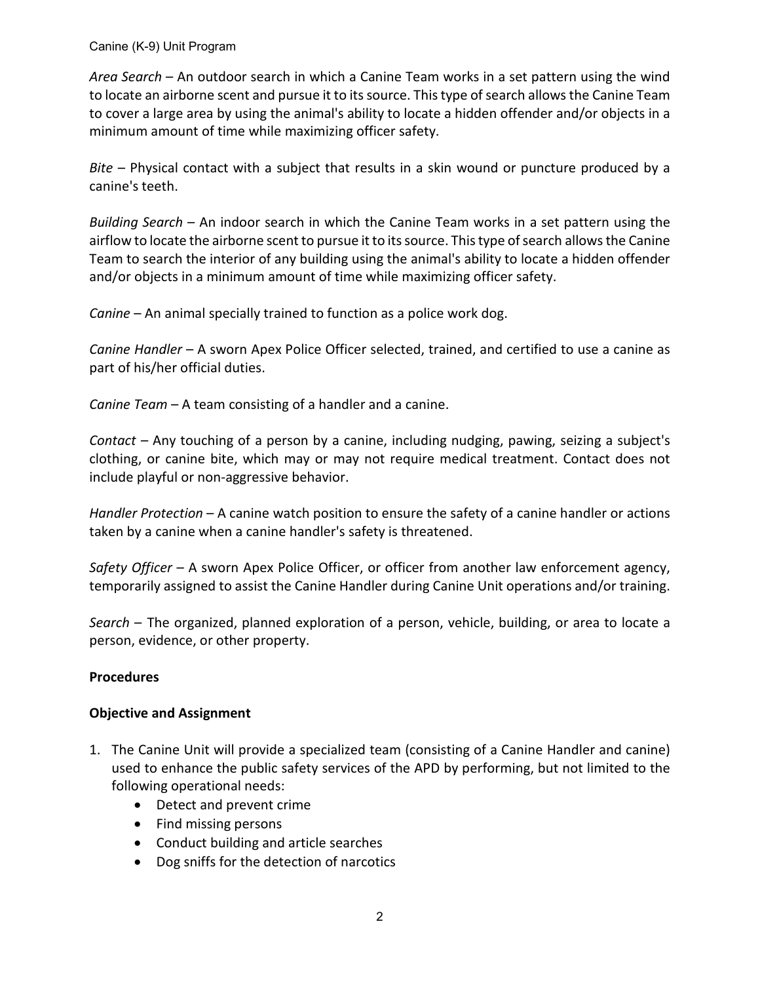*Area Search* – An outdoor search in which a Canine Team works in a set pattern using the wind to locate an airborne scent and pursue it to its source. This type of search allows the Canine Team to cover a large area by using the animal's ability to locate a hidden offender and/or objects in a minimum amount of time while maximizing officer safety.

*Bite* – Physical contact with a subject that results in a skin wound or puncture produced by a canine's teeth.

*Building Search* – An indoor search in which the Canine Team works in a set pattern using the airflow to locate the airborne scent to pursue it to its source. This type of search allows the Canine Team to search the interior of any building using the animal's ability to locate a hidden offender and/or objects in a minimum amount of time while maximizing officer safety.

*Canine* – An animal specially trained to function as a police work dog.

*Canine Handler* – A sworn Apex Police Officer selected, trained, and certified to use a canine as part of his/her official duties.

*Canine Team* – A team consisting of a handler and a canine.

*Contact –* Any touching of a person by a canine, including nudging, pawing, seizing a subject's clothing, or canine bite, which may or may not require medical treatment. Contact does not include playful or non-aggressive behavior.

*Handler Protection* – A canine watch position to ensure the safety of a canine handler or actions taken by a canine when a canine handler's safety is threatened.

*Safety Officer* – A sworn Apex Police Officer, or officer from another law enforcement agency, temporarily assigned to assist the Canine Handler during Canine Unit operations and/or training.

*Search –* The organized, planned exploration of a person, vehicle, building, or area to locate a person, evidence, or other property.

# **Procedures**

#### **Objective and Assignment**

- 1. The Canine Unit will provide a specialized team (consisting of a Canine Handler and canine) used to enhance the public safety services of the APD by performing, but not limited to the following operational needs:
	- Detect and prevent crime
	- Find missing persons
	- Conduct building and article searches
	- Dog sniffs for the detection of narcotics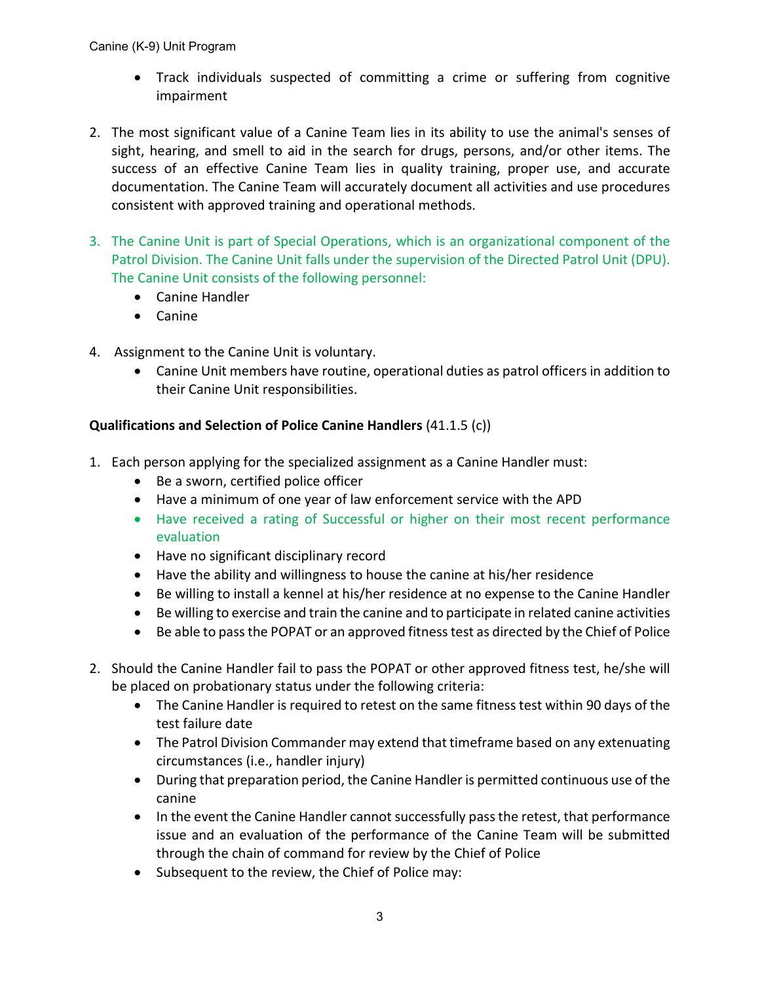- Track individuals suspected of committing a crime or suffering from cognitive impairment
- 2. The most significant value of a Canine Team lies in its ability to use the animal's senses of sight, hearing, and smell to aid in the search for drugs, persons, and/or other items. The success of an effective Canine Team lies in quality training, proper use, and accurate documentation. The Canine Team will accurately document all activities and use procedures consistent with approved training and operational methods.
- 3. The Canine Unit is part of Special Operations, which is an organizational component of the Patrol Division. The Canine Unit falls under the supervision of the Directed Patrol Unit (DPU). The Canine Unit consists of the following personnel:
	- Canine Handler
	- Canine
- 4. Assignment to the Canine Unit is voluntary.
	- Canine Unit members have routine, operational duties as patrol officers in addition to their Canine Unit responsibilities.

# **Qualifications and Selection of Police Canine Handlers** (41.1.5 (c))

- 1. Each person applying for the specialized assignment as a Canine Handler must:
	- Be a sworn, certified police officer
	- Have a minimum of one year of law enforcement service with the APD
	- Have received a rating of Successful or higher on their most recent performance evaluation
	- Have no significant disciplinary record
	- Have the ability and willingness to house the canine at his/her residence
	- Be willing to install a kennel at his/her residence at no expense to the Canine Handler
	- Be willing to exercise and train the canine and to participate in related canine activities
	- Be able to pass the POPAT or an approved fitness test as directed by the Chief of Police
- 2. Should the Canine Handler fail to pass the POPAT or other approved fitness test, he/she will be placed on probationary status under the following criteria:
	- The Canine Handler is required to retest on the same fitness test within 90 days of the test failure date
	- The Patrol Division Commander may extend that timeframe based on any extenuating circumstances (i.e., handler injury)
	- During that preparation period, the Canine Handler is permitted continuous use of the canine
	- In the event the Canine Handler cannot successfully pass the retest, that performance issue and an evaluation of the performance of the Canine Team will be submitted through the chain of command for review by the Chief of Police
	- Subsequent to the review, the Chief of Police may: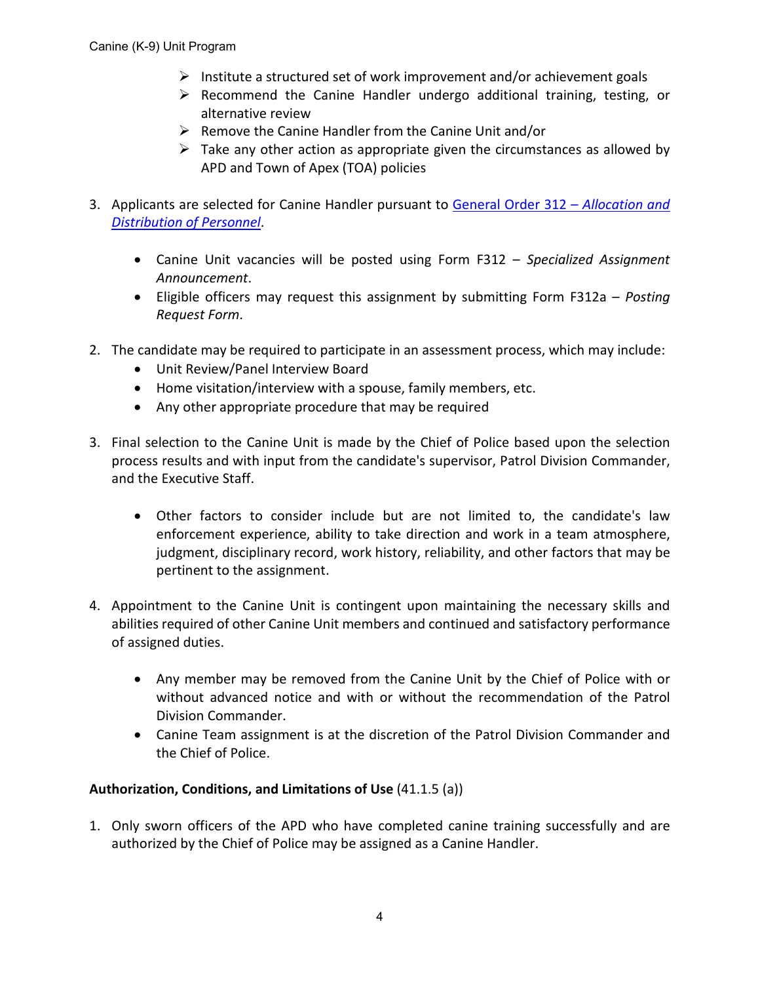- $\triangleright$  Institute a structured set of work improvement and/or achievement goals
- $\triangleright$  Recommend the Canine Handler undergo additional training, testing, or alternative review
- $\triangleright$  Remove the Canine Handler from the Canine Unit and/or
- $\triangleright$  Take any other action as appropriate given the circumstances as allowed by APD and Town of Apex (TOA) policies
- 3. Applicants are selected for Canine Handler pursuant to [General Order 312 –](https://powerdms.com/link/APEXPD/document/?id=441943) *Allocation and [Distribution of Personnel](https://powerdms.com/link/APEXPD/document/?id=441943)*.
	- Canine Unit vacancies will be posted using Form F312 *Specialized Assignment Announcement*.
	- Eligible officers may request this assignment by submitting Form F312a *Posting Request Form*.
- 2. The candidate may be required to participate in an assessment process, which may include:
	- Unit Review/Panel Interview Board
	- Home visitation/interview with a spouse, family members, etc.
	- Any other appropriate procedure that may be required
- 3. Final selection to the Canine Unit is made by the Chief of Police based upon the selection process results and with input from the candidate's supervisor, Patrol Division Commander, and the Executive Staff.
	- Other factors to consider include but are not limited to, the candidate's law enforcement experience, ability to take direction and work in a team atmosphere, judgment, disciplinary record, work history, reliability, and other factors that may be pertinent to the assignment.
- 4. Appointment to the Canine Unit is contingent upon maintaining the necessary skills and abilities required of other Canine Unit members and continued and satisfactory performance of assigned duties.
	- Any member may be removed from the Canine Unit by the Chief of Police with or without advanced notice and with or without the recommendation of the Patrol Division Commander.
	- Canine Team assignment is at the discretion of the Patrol Division Commander and the Chief of Police.

#### **Authorization, Conditions, and Limitations of Use** (41.1.5 (a))

1. Only sworn officers of the APD who have completed canine training successfully and are authorized by the Chief of Police may be assigned as a Canine Handler.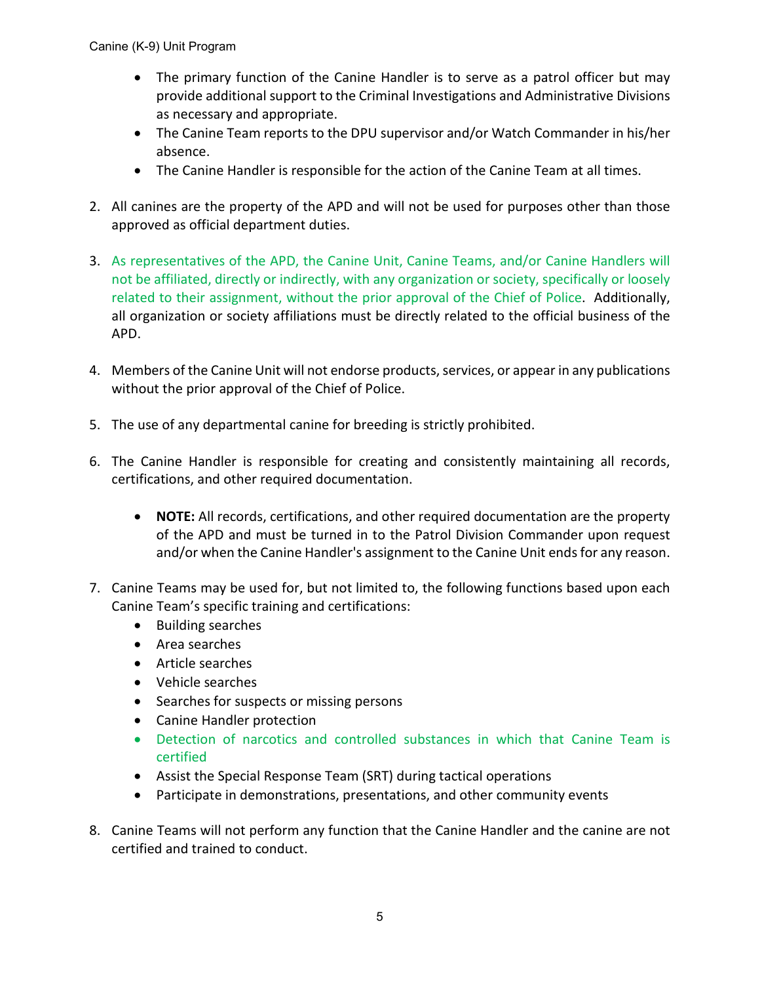- The primary function of the Canine Handler is to serve as a patrol officer but may provide additional support to the Criminal Investigations and Administrative Divisions as necessary and appropriate.
- The Canine Team reports to the DPU supervisor and/or Watch Commander in his/her absence.
- The Canine Handler is responsible for the action of the Canine Team at all times.
- 2. All canines are the property of the APD and will not be used for purposes other than those approved as official department duties.
- 3. As representatives of the APD, the Canine Unit, Canine Teams, and/or Canine Handlers will not be affiliated, directly or indirectly, with any organization or society, specifically or loosely related to their assignment, without the prior approval of the Chief of Police. Additionally, all organization or society affiliations must be directly related to the official business of the APD.
- 4. Members of the Canine Unit will not endorse products, services, or appear in any publications without the prior approval of the Chief of Police.
- 5. The use of any departmental canine for breeding is strictly prohibited.
- 6. The Canine Handler is responsible for creating and consistently maintaining all records, certifications, and other required documentation.
	- **NOTE:** All records, certifications, and other required documentation are the property of the APD and must be turned in to the Patrol Division Commander upon request and/or when the Canine Handler's assignment to the Canine Unit ends for any reason.
- 7. Canine Teams may be used for, but not limited to, the following functions based upon each Canine Team's specific training and certifications:
	- Building searches
	- Area searches
	- Article searches
	- Vehicle searches
	- Searches for suspects or missing persons
	- Canine Handler protection
	- Detection of narcotics and controlled substances in which that Canine Team is certified
	- Assist the Special Response Team (SRT) during tactical operations
	- Participate in demonstrations, presentations, and other community events
- 8. Canine Teams will not perform any function that the Canine Handler and the canine are not certified and trained to conduct.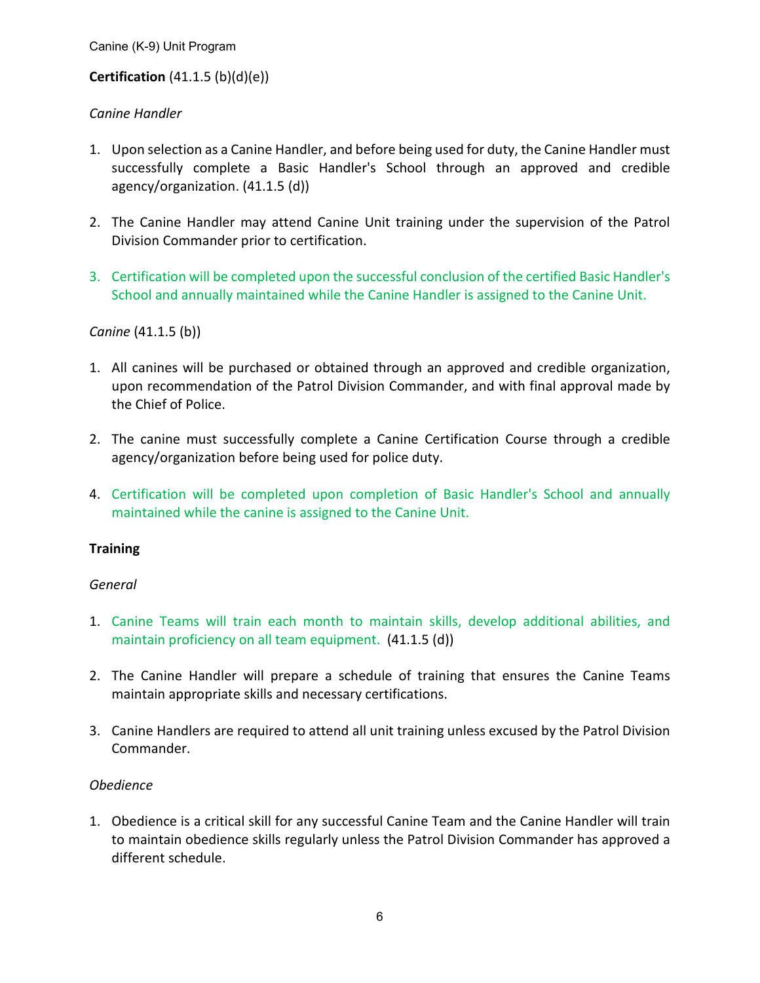# **Certification** (41.1.5 (b)(d)(e))

# *Canine Handler*

- 1. Upon selection as a Canine Handler, and before being used for duty, the Canine Handler must successfully complete a Basic Handler's School through an approved and credible agency/organization. (41.1.5 (d))
- 2. The Canine Handler may attend Canine Unit training under the supervision of the Patrol Division Commander prior to certification.
- 3. Certification will be completed upon the successful conclusion of the certified Basic Handler's School and annually maintained while the Canine Handler is assigned to the Canine Unit.

# *Canine* (41.1.5 (b))

- 1. All canines will be purchased or obtained through an approved and credible organization, upon recommendation of the Patrol Division Commander, and with final approval made by the Chief of Police.
- 2. The canine must successfully complete a Canine Certification Course through a credible agency/organization before being used for police duty.
- 4. Certification will be completed upon completion of Basic Handler's School and annually maintained while the canine is assigned to the Canine Unit.

#### **Training**

#### *General*

- 1. Canine Teams will train each month to maintain skills, develop additional abilities, and maintain proficiency on all team equipment. (41.1.5 (d))
- 2. The Canine Handler will prepare a schedule of training that ensures the Canine Teams maintain appropriate skills and necessary certifications.
- 3. Canine Handlers are required to attend all unit training unless excused by the Patrol Division Commander.

#### *Obedience*

1. Obedience is a critical skill for any successful Canine Team and the Canine Handler will train to maintain obedience skills regularly unless the Patrol Division Commander has approved a different schedule.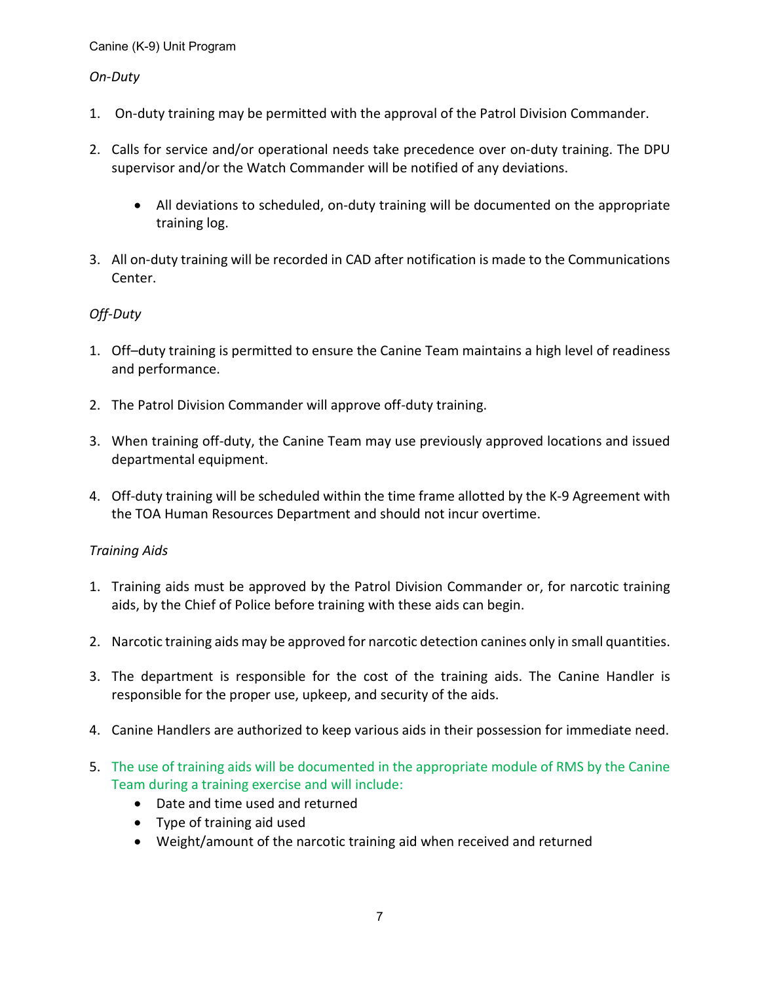#### *On-Duty*

- 1. On-duty training may be permitted with the approval of the Patrol Division Commander.
- 2. Calls for service and/or operational needs take precedence over on-duty training. The DPU supervisor and/or the Watch Commander will be notified of any deviations.
	- All deviations to scheduled, on-duty training will be documented on the appropriate training log.
- 3. All on-duty training will be recorded in CAD after notification is made to the Communications Center.

# *Off-Duty*

- 1. Off–duty training is permitted to ensure the Canine Team maintains a high level of readiness and performance.
- 2. The Patrol Division Commander will approve off-duty training.
- 3. When training off-duty, the Canine Team may use previously approved locations and issued departmental equipment.
- 4. Off-duty training will be scheduled within the time frame allotted by the K-9 Agreement with the TOA Human Resources Department and should not incur overtime.

#### *Training Aids*

- 1. Training aids must be approved by the Patrol Division Commander or, for narcotic training aids, by the Chief of Police before training with these aids can begin.
- 2. Narcotic training aids may be approved for narcotic detection canines only in small quantities.
- 3. The department is responsible for the cost of the training aids. The Canine Handler is responsible for the proper use, upkeep, and security of the aids.
- 4. Canine Handlers are authorized to keep various aids in their possession for immediate need.
- 5. The use of training aids will be documented in the appropriate module of RMS by the Canine Team during a training exercise and will include:
	- Date and time used and returned
	- Type of training aid used
	- Weight/amount of the narcotic training aid when received and returned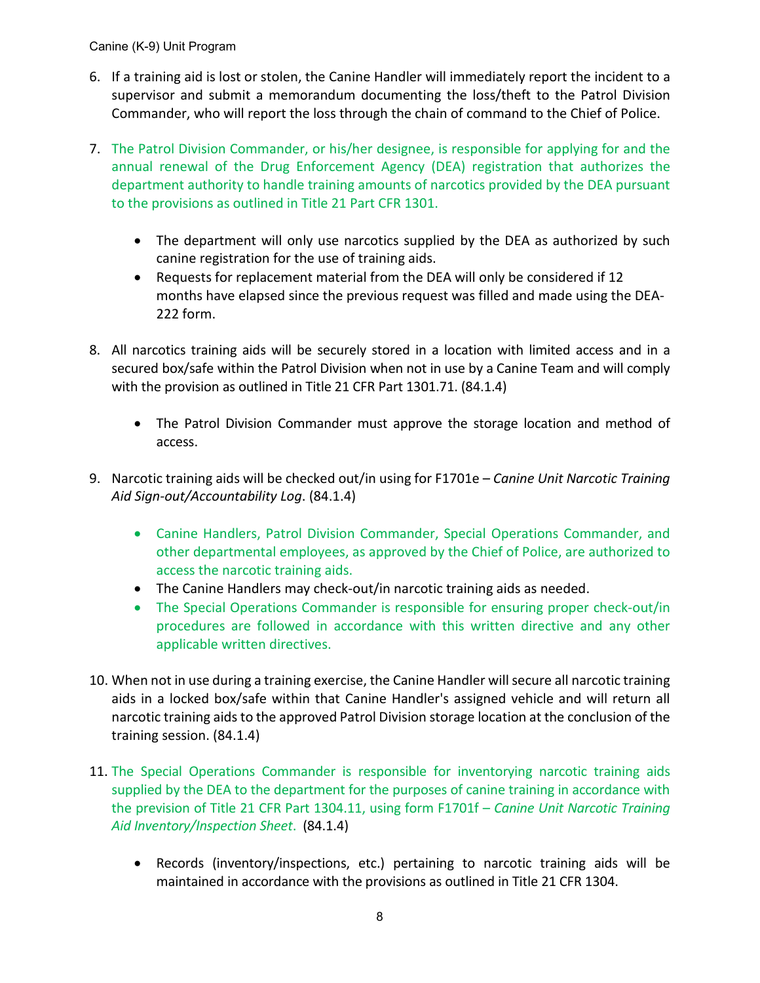- 6. If a training aid is lost or stolen, the Canine Handler will immediately report the incident to a supervisor and submit a memorandum documenting the loss/theft to the Patrol Division Commander, who will report the loss through the chain of command to the Chief of Police.
- 7. The Patrol Division Commander, or his/her designee, is responsible for applying for and the annual renewal of the Drug Enforcement Agency (DEA) registration that authorizes the department authority to handle training amounts of narcotics provided by the DEA pursuant to the provisions as outlined in Title 21 Part CFR 1301.
	- The department will only use narcotics supplied by the DEA as authorized by such canine registration for the use of training aids.
	- Requests for replacement material from the DEA will only be considered if 12 months have elapsed since the previous request was filled and made using the DEA-222 form.
- 8. All narcotics training aids will be securely stored in a location with limited access and in a secured box/safe within the Patrol Division when not in use by a Canine Team and will comply with the provision as outlined in Title 21 CFR Part 1301.71. (84.1.4)
	- The Patrol Division Commander must approve the storage location and method of access.
- 9. Narcotic training aids will be checked out/in using for F1701e *Canine Unit Narcotic Training Aid Sign-out/Accountability Log*. (84.1.4)
	- Canine Handlers, Patrol Division Commander, Special Operations Commander, and other departmental employees, as approved by the Chief of Police, are authorized to access the narcotic training aids.
	- The Canine Handlers may check-out/in narcotic training aids as needed.
	- The Special Operations Commander is responsible for ensuring proper check-out/in procedures are followed in accordance with this written directive and any other applicable written directives.
- 10. When not in use during a training exercise, the Canine Handler will secure all narcotic training aids in a locked box/safe within that Canine Handler's assigned vehicle and will return all narcotic training aids to the approved Patrol Division storage location at the conclusion of the training session. (84.1.4)
- 11. The Special Operations Commander is responsible for inventorying narcotic training aids supplied by the DEA to the department for the purposes of canine training in accordance with the prevision of Title 21 CFR Part 1304.11, using form F1701f – *Canine Unit Narcotic Training Aid Inventory/Inspection Sheet*. (84.1.4)
	- Records (inventory/inspections, etc.) pertaining to narcotic training aids will be maintained in accordance with the provisions as outlined in Title 21 CFR 1304.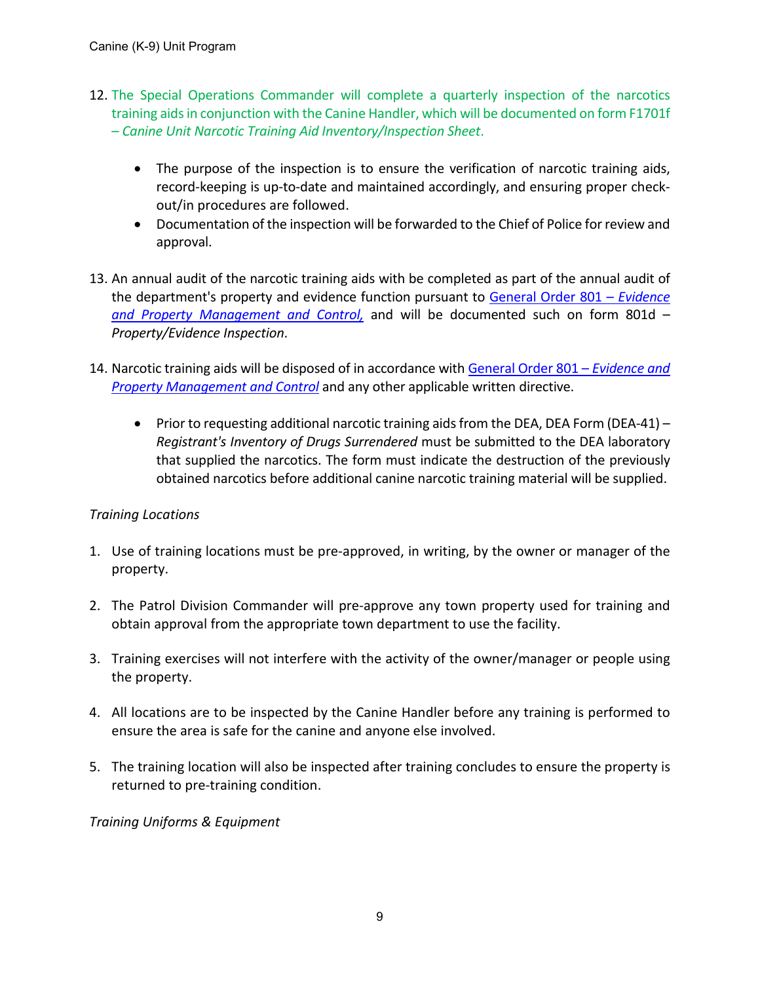- 12. The Special Operations Commander will complete a quarterly inspection of the narcotics training aids in conjunction with the Canine Handler, which will be documented on form F1701f – *Canine Unit Narcotic Training Aid Inventory/Inspection Sheet*.
	- The purpose of the inspection is to ensure the verification of narcotic training aids, record-keeping is up-to-date and maintained accordingly, and ensuring proper checkout/in procedures are followed.
	- Documentation of the inspection will be forwarded to the Chief of Police for review and approval.
- 13. An annual audit of the narcotic training aids with be completed as part of the annual audit of the department's property and evidence function pursuant to [General Order 801 –](https://powerdms.com/link/APEXPD/document/?id=448903) *Evidence [and Property Management and Control,](https://powerdms.com/link/APEXPD/document/?id=448903)* and will be documented such on form 801d – *Property/Evidence Inspection*.
- 14. Narcotic training aids will be disposed of in accordance with [General Order 801 –](https://powerdms.com/link/APEXPD/document/?id=448903) *Evidence and [Property Management and Control](https://powerdms.com/link/APEXPD/document/?id=448903)* and any other applicable written directive.
	- Prior to requesting additional narcotic training aids from the DEA, DEA Form (DEA-41) *Registrant's Inventory of Drugs Surrendered* must be submitted to the DEA laboratory that supplied the narcotics. The form must indicate the destruction of the previously obtained narcotics before additional canine narcotic training material will be supplied.

# *Training Locations*

- 1. Use of training locations must be pre-approved, in writing, by the owner or manager of the property.
- 2. The Patrol Division Commander will pre-approve any town property used for training and obtain approval from the appropriate town department to use the facility.
- 3. Training exercises will not interfere with the activity of the owner/manager or people using the property.
- 4. All locations are to be inspected by the Canine Handler before any training is performed to ensure the area is safe for the canine and anyone else involved.
- 5. The training location will also be inspected after training concludes to ensure the property is returned to pre-training condition.

#### *Training Uniforms & Equipment*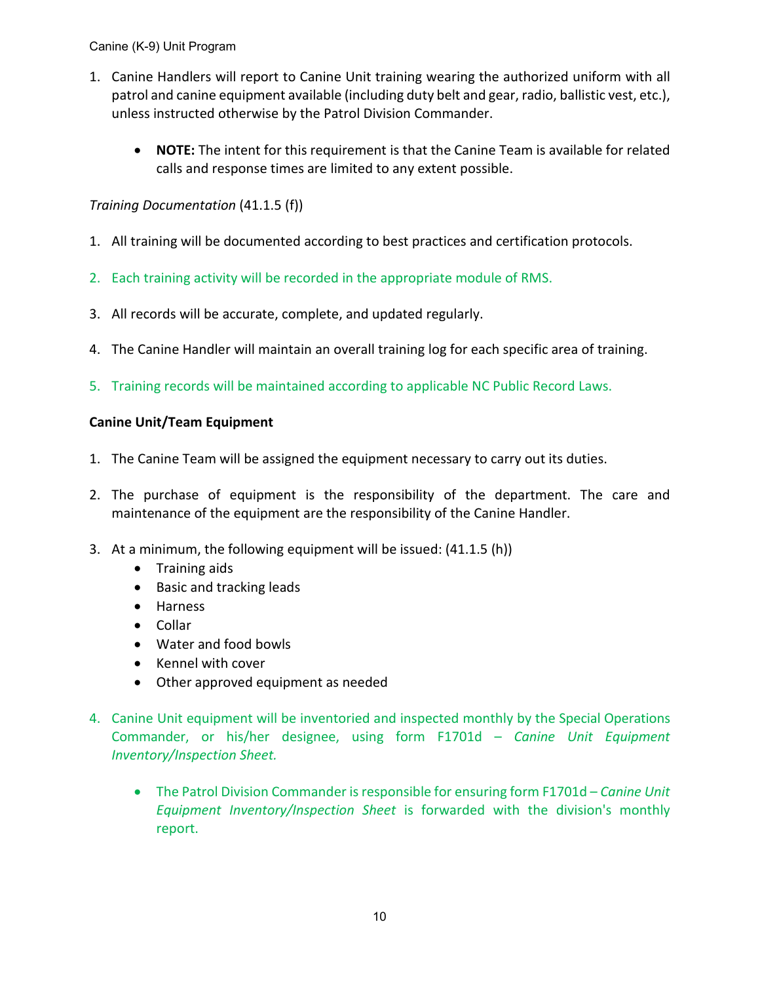- 1. Canine Handlers will report to Canine Unit training wearing the authorized uniform with all patrol and canine equipment available (including duty belt and gear, radio, ballistic vest, etc.), unless instructed otherwise by the Patrol Division Commander.
	- **NOTE:** The intent for this requirement is that the Canine Team is available for related calls and response times are limited to any extent possible.

*Training Documentation* (41.1.5 (f))

- 1. All training will be documented according to best practices and certification protocols.
- 2. Each training activity will be recorded in the appropriate module of RMS.
- 3. All records will be accurate, complete, and updated regularly.
- 4. The Canine Handler will maintain an overall training log for each specific area of training.
- 5. Training records will be maintained according to applicable NC Public Record Laws.

#### **Canine Unit/Team Equipment**

- 1. The Canine Team will be assigned the equipment necessary to carry out its duties.
- 2. The purchase of equipment is the responsibility of the department. The care and maintenance of the equipment are the responsibility of the Canine Handler.
- 3. At a minimum, the following equipment will be issued: (41.1.5 (h))
	- Training aids
	- Basic and tracking leads
	- Harness
	- Collar
	- Water and food bowls
	- Kennel with cover
	- Other approved equipment as needed
- 4. Canine Unit equipment will be inventoried and inspected monthly by the Special Operations Commander, or his/her designee, using form F1701d – *Canine Unit Equipment Inventory/Inspection Sheet.*
	- The Patrol Division Commander is responsible for ensuring form F1701d *Canine Unit Equipment Inventory/Inspection Sheet* is forwarded with the division's monthly report.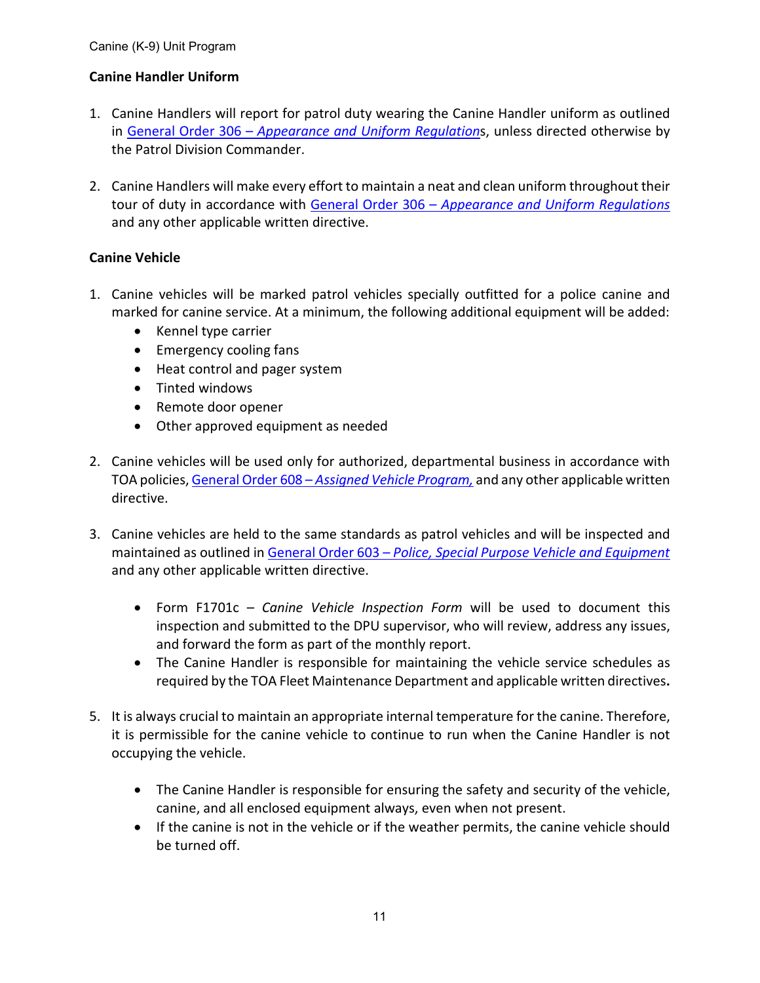# **Canine Handler Uniform**

- 1. Canine Handlers will report for patrol duty wearing the Canine Handler uniform as outlined in General Order 306 – *[Appearance and Uniform Regulation](https://powerdms.com/link/APEXPD/document/?id=443318)*s, unless directed otherwise by the Patrol Division Commander.
- 2. Canine Handlers will make every effort to maintain a neat and clean uniform throughout their tour of duty in accordance with General Order 306 – *[Appearance and Uniform Regulations](https://powerdms.com/link/APEXPD/document/?id=443318)* and any other applicable written directive.

#### **Canine Vehicle**

- 1. Canine vehicles will be marked patrol vehicles specially outfitted for a police canine and marked for canine service. At a minimum, the following additional equipment will be added:
	- Kennel type carrier
	- Emergency cooling fans
	- Heat control and pager system
	- Tinted windows
	- Remote door opener
	- Other approved equipment as needed
- 2. Canine vehicles will be used only for authorized, departmental business in accordance with TOA policies, General Order 608 – *[Assigned Vehicle Program,](https://powerdms.com/link/APEXPD/document/?id=590422)* and any other applicable written directive.
- 3. Canine vehicles are held to the same standards as patrol vehicles and will be inspected and maintained as outlined in General Order 603 – *[Police, Special Purpose Vehicle and Equipment](https://powerdms.com/link/APEXPD/document/?id=443948)* and any other applicable written directive.
	- Form F1701c *Canine Vehicle Inspection Form* will be used to document this inspection and submitted to the DPU supervisor, who will review, address any issues, and forward the form as part of the monthly report.
	- The Canine Handler is responsible for maintaining the vehicle service schedules as required by the TOA Fleet Maintenance Department and applicable written directives**.**
- 5. It is always crucial to maintain an appropriate internal temperature for the canine. Therefore, it is permissible for the canine vehicle to continue to run when the Canine Handler is not occupying the vehicle.
	- The Canine Handler is responsible for ensuring the safety and security of the vehicle, canine, and all enclosed equipment always, even when not present.
	- If the canine is not in the vehicle or if the weather permits, the canine vehicle should be turned off.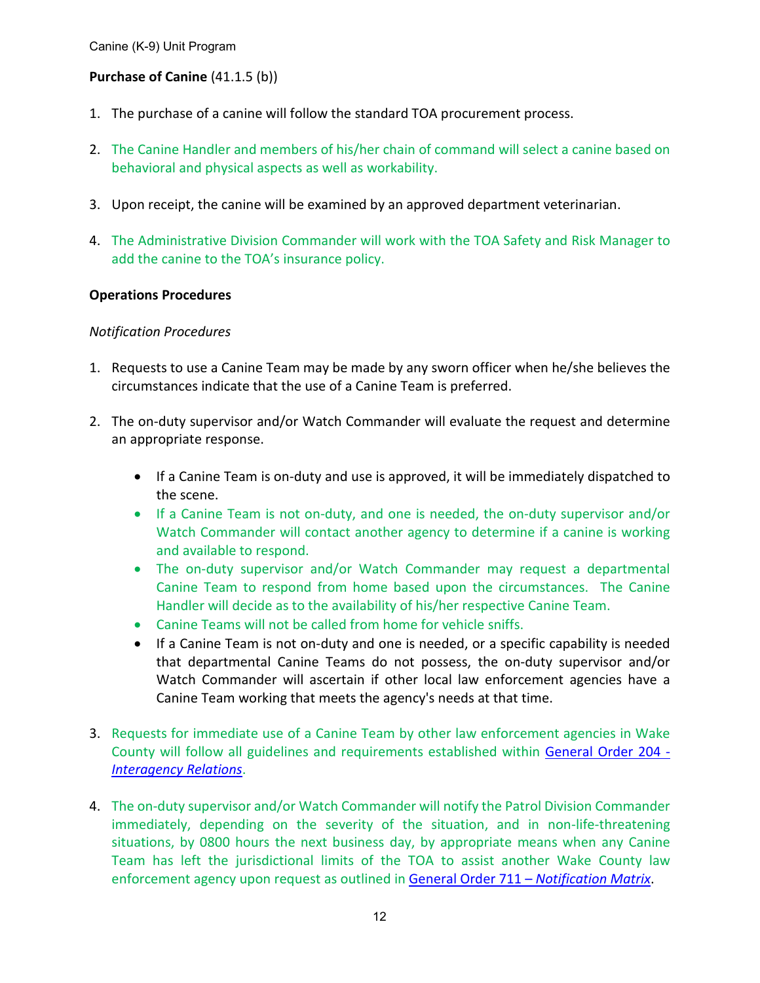# **Purchase of Canine** (41.1.5 (b))

- 1. The purchase of a canine will follow the standard TOA procurement process.
- 2. The Canine Handler and members of his/her chain of command will select a canine based on behavioral and physical aspects as well as workability.
- 3. Upon receipt, the canine will be examined by an approved department veterinarian.
- 4. The Administrative Division Commander will work with the TOA Safety and Risk Manager to add the canine to the TOA's insurance policy.

#### **Operations Procedures**

#### *Notification Procedures*

- 1. Requests to use a Canine Team may be made by any sworn officer when he/she believes the circumstances indicate that the use of a Canine Team is preferred.
- 2. The on-duty supervisor and/or Watch Commander will evaluate the request and determine an appropriate response.
	- If a Canine Team is on-duty and use is approved, it will be immediately dispatched to the scene.
	- If a Canine Team is not on-duty, and one is needed, the on-duty supervisor and/or Watch Commander will contact another agency to determine if a canine is working and available to respond.
	- The on-duty supervisor and/or Watch Commander may request a departmental Canine Team to respond from home based upon the circumstances. The Canine Handler will decide as to the availability of his/her respective Canine Team.
	- Canine Teams will not be called from home for vehicle sniffs.
	- If a Canine Team is not on-duty and one is needed, or a specific capability is needed that departmental Canine Teams do not possess, the on-duty supervisor and/or Watch Commander will ascertain if other local law enforcement agencies have a Canine Team working that meets the agency's needs at that time.
- 3. Requests for immediate use of a Canine Team by other law enforcement agencies in Wake County will follow all guidelines and requirements established within [General Order](https://powerdms.com/link/APEXPD/document/?id=441517) 204 - *[Interagency Relations](https://powerdms.com/link/APEXPD/document/?id=441517)*.
- 4. The on-duty supervisor and/or Watch Commander will notify the Patrol Division Commander immediately, depending on the severity of the situation, and in non-life-threatening situations, by 0800 hours the next business day, by appropriate means when any Canine Team has left the jurisdictional limits of the TOA to assist another Wake County law enforcement agency upon request as outlined in General Order 711 – *[Notification Matrix](https://powerdms.com/link/APEXPD/document/?id=438771)*.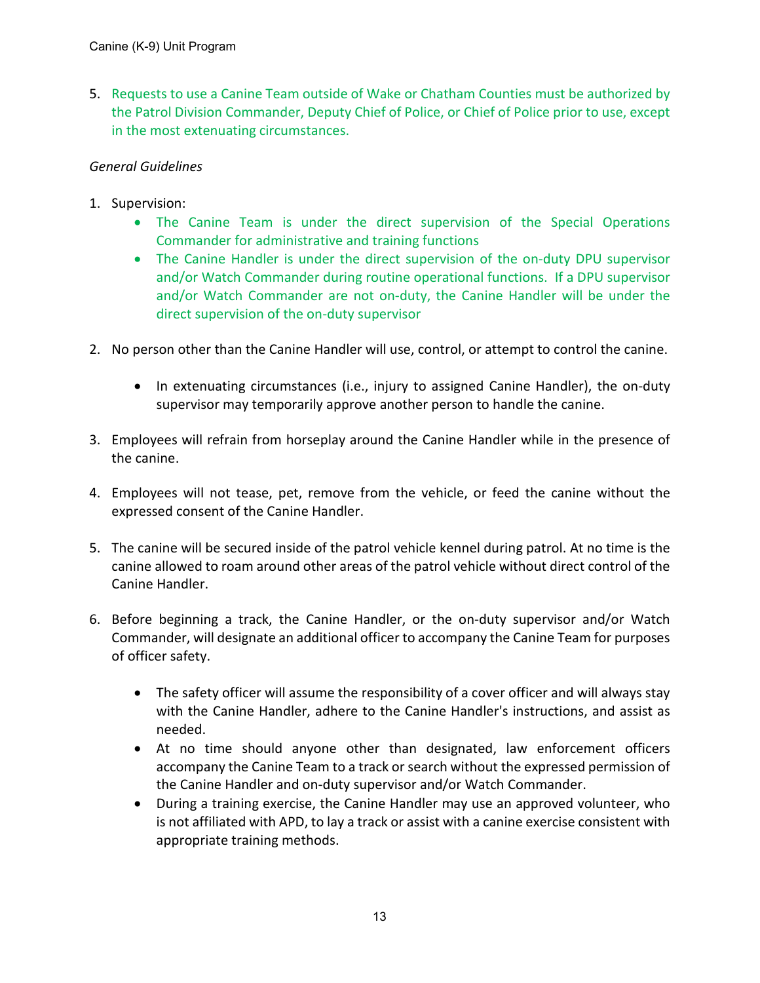5. Requests to use a Canine Team outside of Wake or Chatham Counties must be authorized by the Patrol Division Commander, Deputy Chief of Police, or Chief of Police prior to use, except in the most extenuating circumstances.

## *General Guidelines*

- 1. Supervision:
	- The Canine Team is under the direct supervision of the Special Operations Commander for administrative and training functions
	- The Canine Handler is under the direct supervision of the on-duty DPU supervisor and/or Watch Commander during routine operational functions. If a DPU supervisor and/or Watch Commander are not on-duty, the Canine Handler will be under the direct supervision of the on-duty supervisor
- 2. No person other than the Canine Handler will use, control, or attempt to control the canine.
	- In extenuating circumstances (i.e., injury to assigned Canine Handler), the on-duty supervisor may temporarily approve another person to handle the canine.
- 3. Employees will refrain from horseplay around the Canine Handler while in the presence of the canine.
- 4. Employees will not tease, pet, remove from the vehicle, or feed the canine without the expressed consent of the Canine Handler.
- 5. The canine will be secured inside of the patrol vehicle kennel during patrol. At no time is the canine allowed to roam around other areas of the patrol vehicle without direct control of the Canine Handler.
- 6. Before beginning a track, the Canine Handler, or the on-duty supervisor and/or Watch Commander, will designate an additional officer to accompany the Canine Team for purposes of officer safety.
	- The safety officer will assume the responsibility of a cover officer and will always stay with the Canine Handler, adhere to the Canine Handler's instructions, and assist as needed.
	- At no time should anyone other than designated, law enforcement officers accompany the Canine Team to a track or search without the expressed permission of the Canine Handler and on-duty supervisor and/or Watch Commander.
	- During a training exercise, the Canine Handler may use an approved volunteer, who is not affiliated with APD, to lay a track or assist with a canine exercise consistent with appropriate training methods.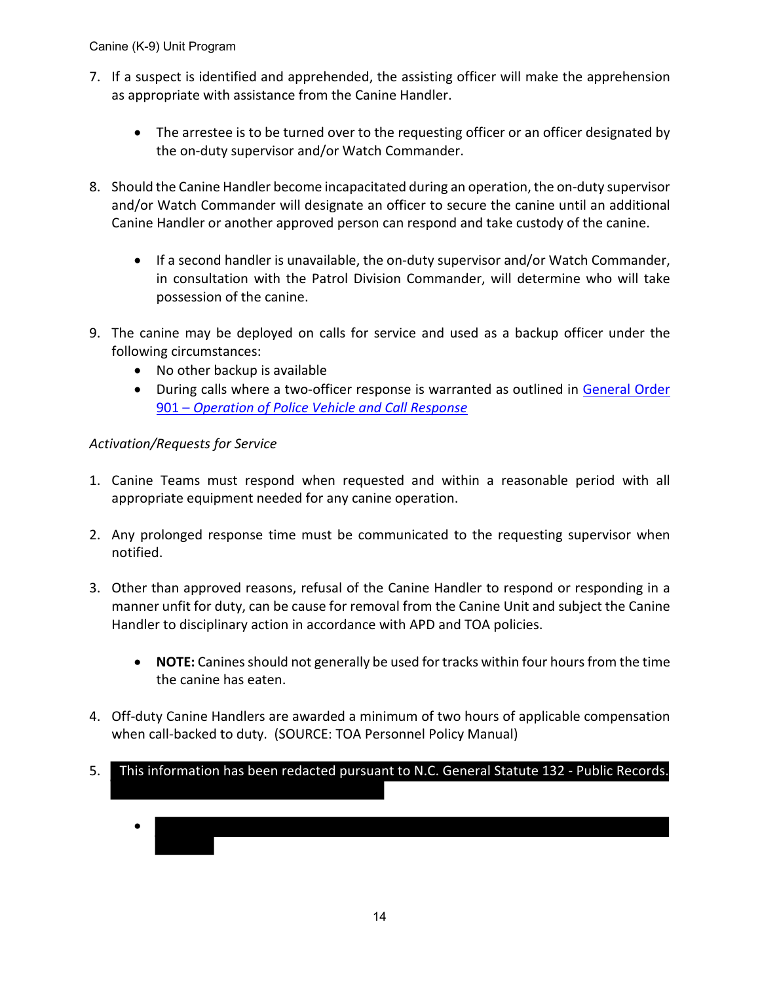- 7. If a suspect is identified and apprehended, the assisting officer will make the apprehension as appropriate with assistance from the Canine Handler.
	- The arrestee is to be turned over to the requesting officer or an officer designated by the on-duty supervisor and/or Watch Commander.
- 8. Should the Canine Handler become incapacitated during an operation, the on-duty supervisor and/or Watch Commander will designate an officer to secure the canine until an additional Canine Handler or another approved person can respond and take custody of the canine.
	- If a second handler is unavailable, the on-duty supervisor and/or Watch Commander, in consultation with the Patrol Division Commander, will determine who will take possession of the canine.
- 9. The canine may be deployed on calls for service and used as a backup officer under the following circumstances:
	- No other backup is available
	- During calls where a two-officer response is warranted as outlined in [General Order](https://powerdms.com/link/APEXPD/document/?id=444080) 901 – *[Operation of Police Vehicle and Call Response](https://powerdms.com/link/APEXPD/document/?id=444080)*

# *Activation/Requests for Service*

- 1. Canine Teams must respond when requested and within a reasonable period with all appropriate equipment needed for any canine operation.
- 2. Any prolonged response time must be communicated to the requesting supervisor when notified.
- 3. Other than approved reasons, refusal of the Canine Handler to respond or responding in a manner unfit for duty, can be cause for removal from the Canine Unit and subject the Canine Handler to disciplinary action in accordance with APD and TOA policies.
	- **NOTE:** Canines should not generally be used for tracks within four hours from the time the canine has eaten.
- 4. Off-duty Canine Handlers are awarded a minimum of two hours of applicable compensation when call-backed to duty. (SOURCE: TOA Personnel Policy Manual)
- 5. This information has been redacted pursuant to N.C. General Statute 132 - Public Records.
	- •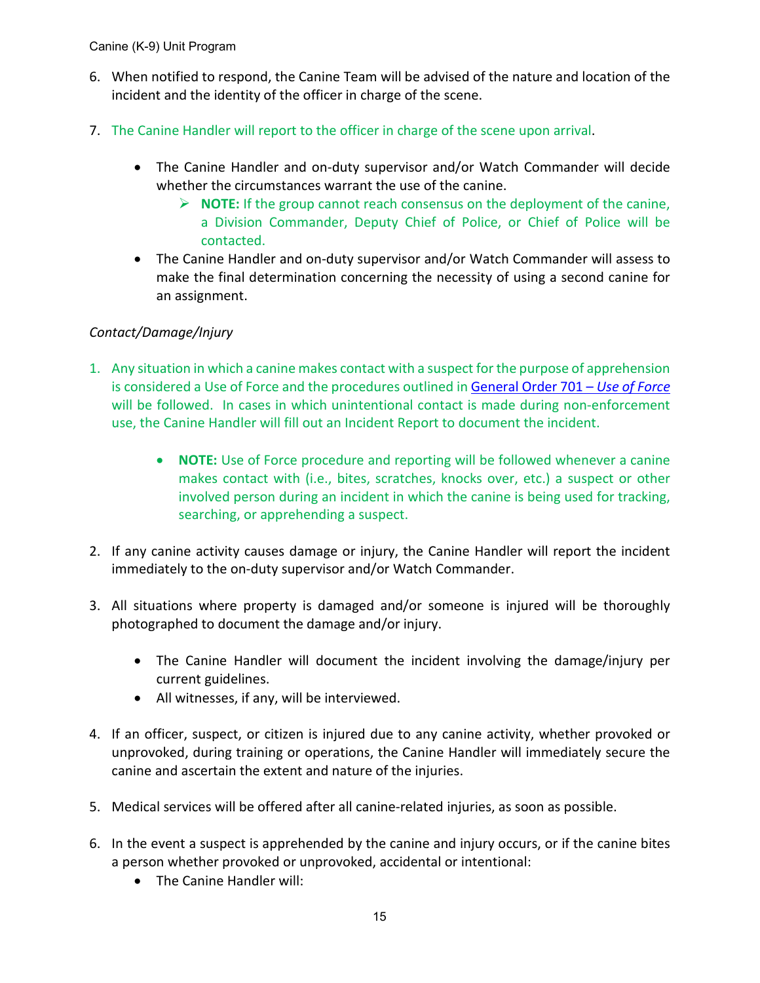- 6. When notified to respond, the Canine Team will be advised of the nature and location of the incident and the identity of the officer in charge of the scene.
- 7. The Canine Handler will report to the officer in charge of the scene upon arrival.
	- The Canine Handler and on-duty supervisor and/or Watch Commander will decide whether the circumstances warrant the use of the canine.
		- **NOTE:** If the group cannot reach consensus on the deployment of the canine, a Division Commander, Deputy Chief of Police, or Chief of Police will be contacted.
	- The Canine Handler and on-duty supervisor and/or Watch Commander will assess to make the final determination concerning the necessity of using a second canine for an assignment.

# *Contact/Damage/Injury*

- 1. Any situation in which a canine makes contact with a suspect for the purpose of apprehension is considered a Use of Force and the procedures outlined i[n General Order](https://powerdms.com/link/APEXPD/document/?id=441460) 701 – *Use of Force* will be followed. In cases in which unintentional contact is made during non-enforcement use, the Canine Handler will fill out an Incident Report to document the incident.
	- **NOTE:** Use of Force procedure and reporting will be followed whenever a canine makes contact with (i.e., bites, scratches, knocks over, etc.) a suspect or other involved person during an incident in which the canine is being used for tracking, searching, or apprehending a suspect.
- 2. If any canine activity causes damage or injury, the Canine Handler will report the incident immediately to the on-duty supervisor and/or Watch Commander.
- 3. All situations where property is damaged and/or someone is injured will be thoroughly photographed to document the damage and/or injury.
	- The Canine Handler will document the incident involving the damage/injury per current guidelines.
	- All witnesses, if any, will be interviewed.
- 4. If an officer, suspect, or citizen is injured due to any canine activity, whether provoked or unprovoked, during training or operations, the Canine Handler will immediately secure the canine and ascertain the extent and nature of the injuries.
- 5. Medical services will be offered after all canine-related injuries, as soon as possible.
- 6. In the event a suspect is apprehended by the canine and injury occurs, or if the canine bites a person whether provoked or unprovoked, accidental or intentional:
	- The Canine Handler will: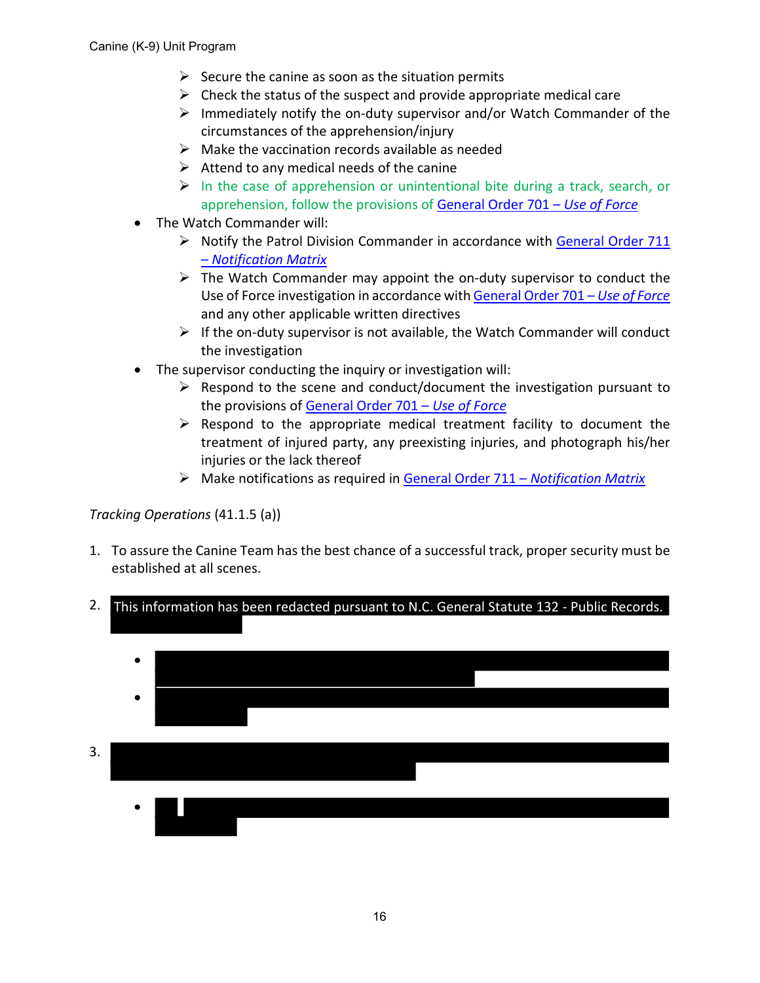- $\triangleright$  Secure the canine as soon as the situation permits
- $\triangleright$  Check the status of the suspect and provide appropriate medical care
- $\triangleright$  Immediately notify the on-duty supervisor and/or Watch Commander of the circumstances of the apprehension/injury
- $\triangleright$  Make the vaccination records available as needed
- $\triangleright$  Attend to any medical needs of the canine
- $\triangleright$  In the case of apprehension or unintentional bite during a track, search, or apprehension, follow the provisions of [General Order 701 –](https://powerdms.com/link/APEXPD/document/?id=441460) *Use of Force*
- The Watch Commander will:
	- $\triangleright$  Notify the Patrol Division Commander in accordance with [General Order 711](https://powerdms.com/link/APEXPD/document/?id=438771) – *[Notification Matrix](https://powerdms.com/link/APEXPD/document/?id=438771)*
	- $\triangleright$  The Watch Commander may appoint the on-duty supervisor to conduct the Use of Force investigation in accordance wit[h General Order 701 –](https://powerdms.com/link/APEXPD/document/?id=441460) *Use of Force* and any other applicable written directives
	- $\triangleright$  If the on-duty supervisor is not available, the Watch Commander will conduct the investigation
- The supervisor conducting the inquiry or investigation will:
	- $\triangleright$  Respond to the scene and conduct/document the investigation pursuant to the provisions of [General Order 701 –](https://powerdms.com/link/APEXPD/document/?id=441460) *Use of Force*
	- $\triangleright$  Respond to the appropriate medical treatment facility to document the treatment of injured party, any preexisting injuries, and photograph his/her injuries or the lack thereof
	- Make notifications as required in [General Order 711](https://powerdms.com/link/APEXPD/document/?id=438771) *Notification Matrix*

# *Tracking Operations* (41.1.5 (a))

1. To assure the Canine Team has the best chance of a successful track, proper security must be established at all scenes.



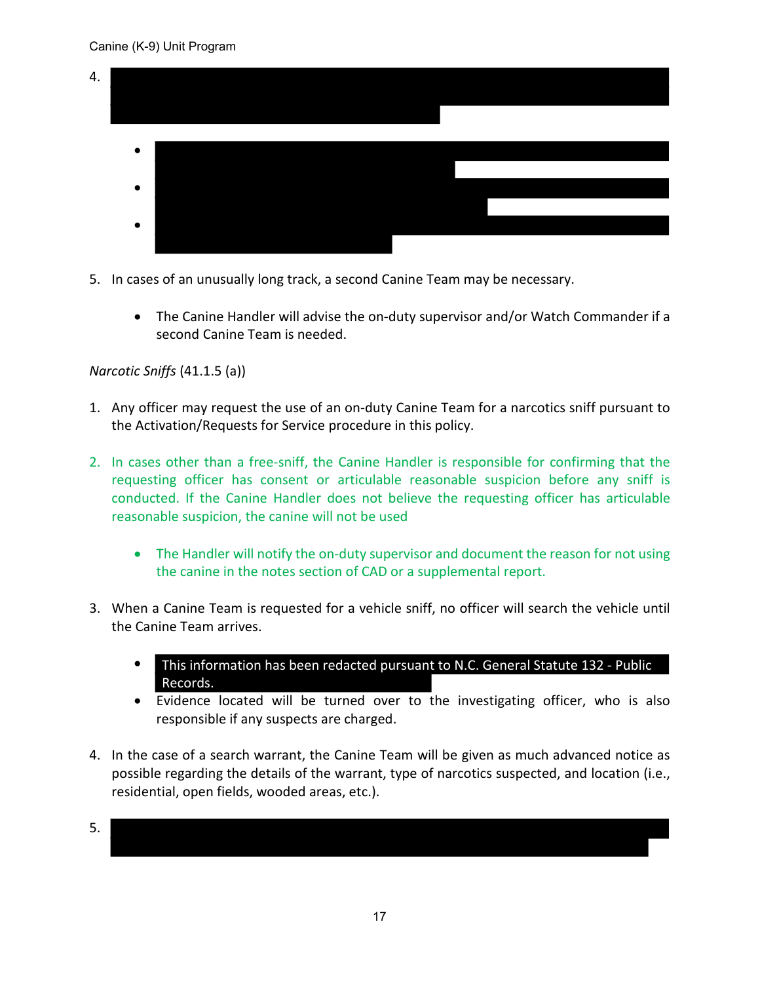

- 5. In cases of an unusually long track, a second Canine Team may be necessary.
	- The Canine Handler will advise the on-duty supervisor and/or Watch Commander if a second Canine Team is needed.

# *Narcotic Sniffs* (41.1.5 (a))

- 1. Any officer may request the use of an on-duty Canine Team for a narcotics sniff pursuant to the Activation/Requests for Service procedure in this policy.
- 2. In cases other than a free-sniff, the Canine Handler is responsible for confirming that the requesting officer has consent or articulable reasonable suspicion before any sniff is conducted. If the Canine Handler does not believe the requesting officer has articulable reasonable suspicion, the canine will not be used
	- The Handler will notify the on-duty supervisor and document the reason for not using the canine in the notes section of CAD or a supplemental report.
- 3. When a Canine Team is requested for a vehicle sniff, no officer will search the vehicle until the Canine Team arrives.
	- **This information has been redacted pursuant to N.C. General Statute 132 Public** Records.
	- Evidence located will be turned over to the investigating officer, who is also responsible if any suspects are charged.
- 4. In the case of a search warrant, the Canine Team will be given as much advanced notice as possible regarding the details of the warrant, type of narcotics suspected, and location (i.e., residential, open fields, wooded areas, etc.).

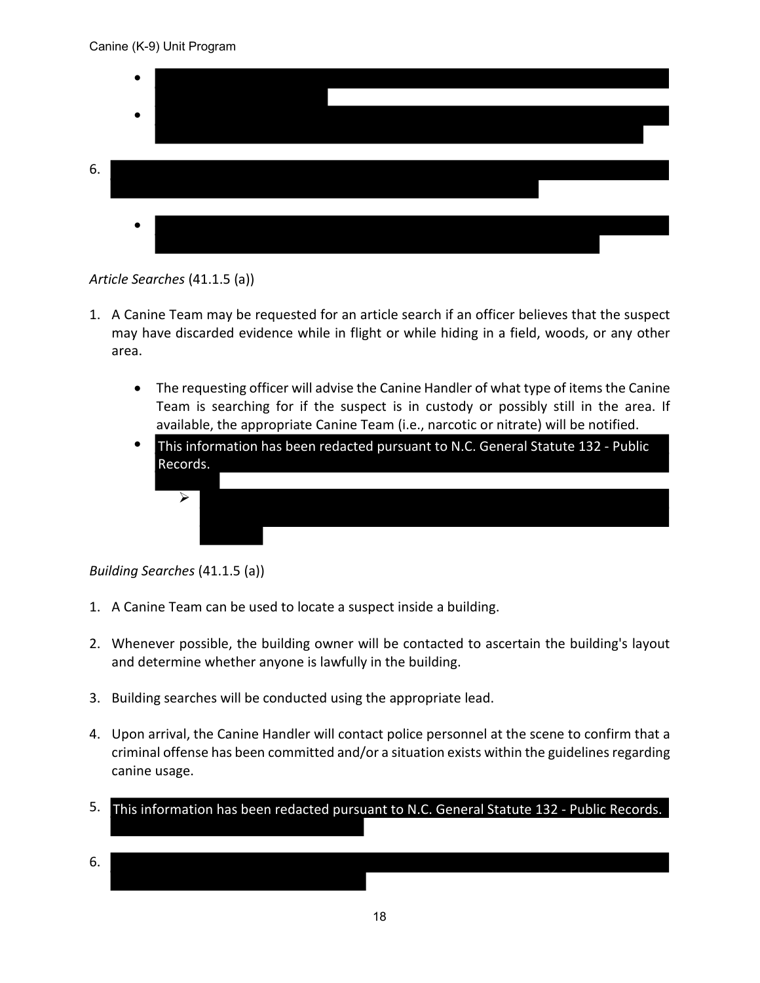

*Article Searches* (41.1.5 (a))

- 1. A Canine Team may be requested for an article search if an officer believes that the suspect may have discarded evidence while in flight or while hiding in a field, woods, or any other area.
	- The requesting officer will advise the Canine Handler of what type of items the Canine Team is searching for if the suspect is in custody or possibly still in the area. If available, the appropriate Canine Team (i.e., narcotic or nitrate) will be notified.
	- This information has been redacted pursuant to N.C. General Statute 132 - Public Records.



# *Building Searches* (41.1.5 (a))

- 1. A Canine Team can be used to locate a suspect inside a building.
- 2. Whenever possible, the building owner will be contacted to ascertain the building's layout and determine whether anyone is lawfully in the building.
- 3. Building searches will be conducted using the appropriate lead.
- 4. Upon arrival, the Canine Handler will contact police personnel at the scene to confirm that a criminal offense has been committed and/or a situation exists within the guidelines regarding canine usage.
- 5. This information has been redacted pursuant to N.C. General Statute 132 Public Records.
- 6.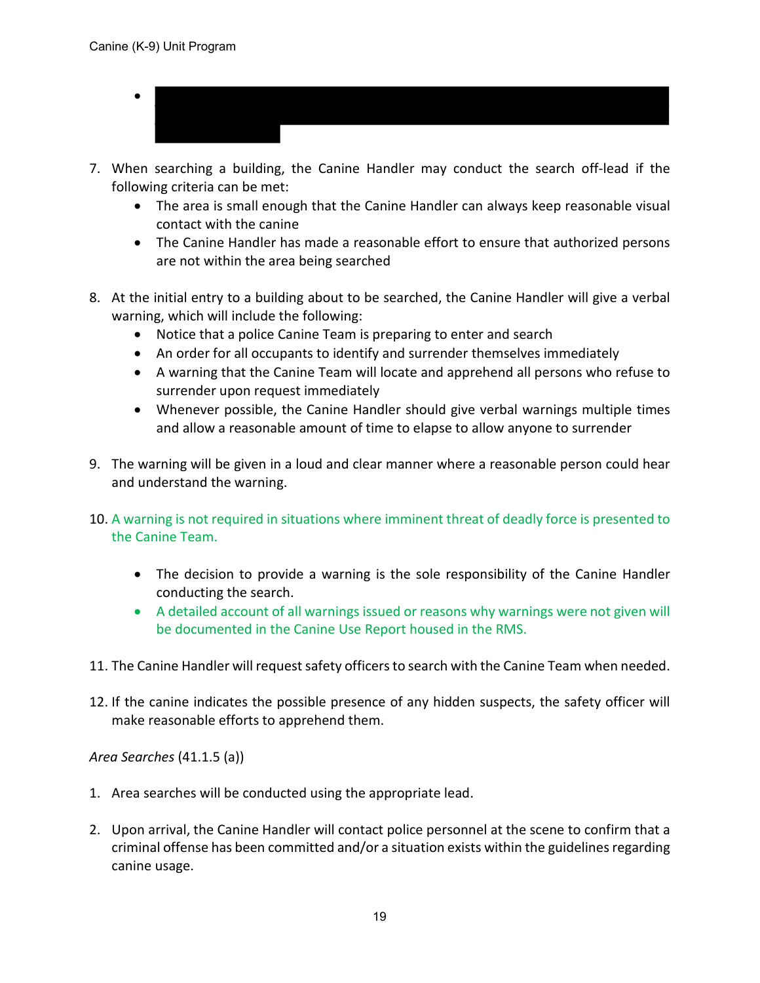- •
- 7. When searching a building, the Canine Handler may conduct the search off-lead if the following criteria can be met:
	- The area is small enough that the Canine Handler can always keep reasonable visual contact with the canine
	- The Canine Handler has made a reasonable effort to ensure that authorized persons are not within the area being searched
- 8. At the initial entry to a building about to be searched, the Canine Handler will give a verbal warning, which will include the following:
	- Notice that a police Canine Team is preparing to enter and search
	- An order for all occupants to identify and surrender themselves immediately
	- A warning that the Canine Team will locate and apprehend all persons who refuse to surrender upon request immediately
	- Whenever possible, the Canine Handler should give verbal warnings multiple times and allow a reasonable amount of time to elapse to allow anyone to surrender
- 9. The warning will be given in a loud and clear manner where a reasonable person could hear and understand the warning.
- 10. A warning is not required in situations where imminent threat of deadly force is presented to the Canine Team.
	- The decision to provide a warning is the sole responsibility of the Canine Handler conducting the search.
	- A detailed account of all warnings issued or reasons why warnings were not given will be documented in the Canine Use Report housed in the RMS.
- 11. The Canine Handler will request safety officers to search with the Canine Team when needed.
- 12. If the canine indicates the possible presence of any hidden suspects, the safety officer will make reasonable efforts to apprehend them.

*Area Searches* (41.1.5 (a))

- 1. Area searches will be conducted using the appropriate lead.
- 2. Upon arrival, the Canine Handler will contact police personnel at the scene to confirm that a criminal offense has been committed and/or a situation exists within the guidelines regarding canine usage.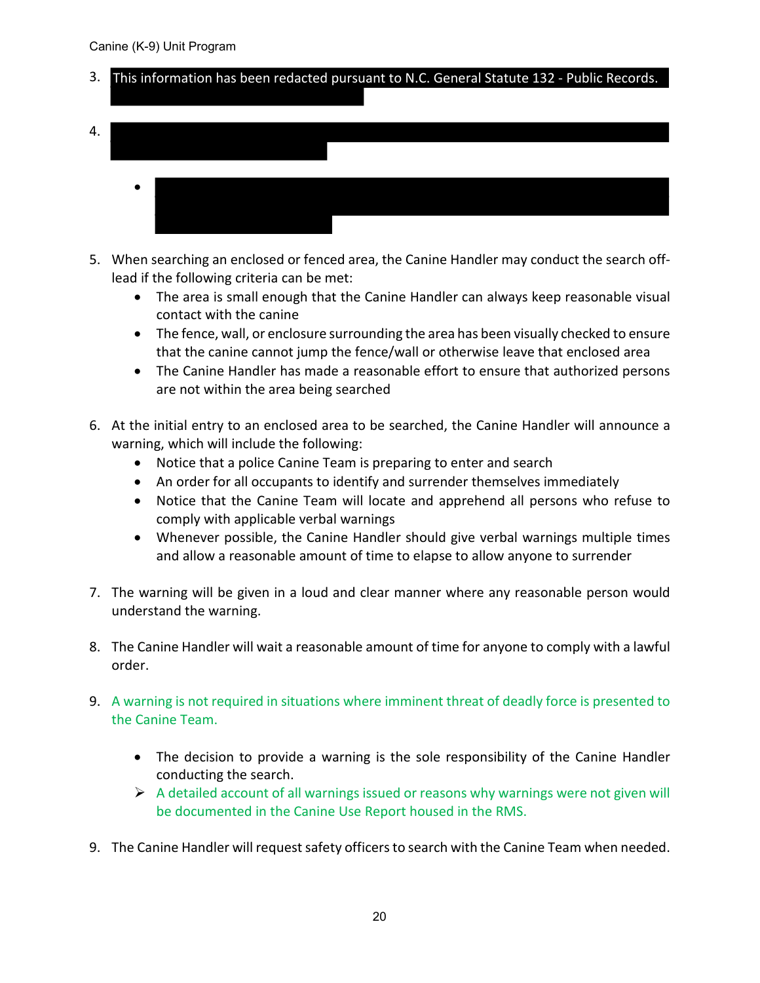- 3. This information has been redacted pursuant to N.C. General Statute 132 Public Records.
- 4. •
- 5. When searching an enclosed or fenced area, the Canine Handler may conduct the search offlead if the following criteria can be met:
	- The area is small enough that the Canine Handler can always keep reasonable visual contact with the canine
	- The fence, wall, or enclosure surrounding the area has been visually checked to ensure that the canine cannot jump the fence/wall or otherwise leave that enclosed area
	- The Canine Handler has made a reasonable effort to ensure that authorized persons are not within the area being searched
- 6. At the initial entry to an enclosed area to be searched, the Canine Handler will announce a warning, which will include the following:
	- Notice that a police Canine Team is preparing to enter and search
	- An order for all occupants to identify and surrender themselves immediately
	- Notice that the Canine Team will locate and apprehend all persons who refuse to comply with applicable verbal warnings
	- Whenever possible, the Canine Handler should give verbal warnings multiple times and allow a reasonable amount of time to elapse to allow anyone to surrender
- 7. The warning will be given in a loud and clear manner where any reasonable person would understand the warning.
- 8. The Canine Handler will wait a reasonable amount of time for anyone to comply with a lawful order.
- 9. A warning is not required in situations where imminent threat of deadly force is presented to the Canine Team.
	- The decision to provide a warning is the sole responsibility of the Canine Handler conducting the search.
	- $\triangleright$  A detailed account of all warnings issued or reasons why warnings were not given will be documented in the Canine Use Report housed in the RMS.
- 9. The Canine Handler will request safety officers to search with the Canine Team when needed.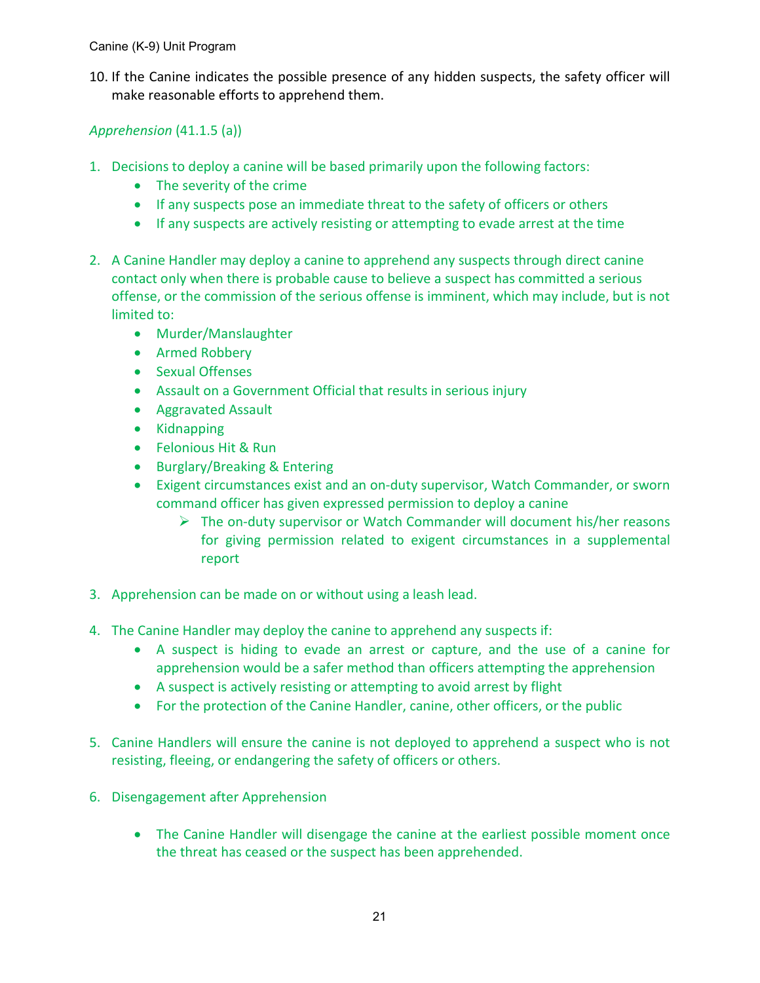10. If the Canine indicates the possible presence of any hidden suspects, the safety officer will make reasonable efforts to apprehend them.

*Apprehension* (41.1.5 (a))

- 1. Decisions to deploy a canine will be based primarily upon the following factors:
	- The severity of the crime
	- If any suspects pose an immediate threat to the safety of officers or others
	- If any suspects are actively resisting or attempting to evade arrest at the time
- 2. A Canine Handler may deploy a canine to apprehend any suspects through direct canine contact only when there is probable cause to believe a suspect has committed a serious offense, or the commission of the serious offense is imminent, which may include, but is not limited to:
	- Murder/Manslaughter
	- Armed Robbery
	- Sexual Offenses
	- Assault on a Government Official that results in serious injury
	- Aggravated Assault
	- Kidnapping
	- Felonious Hit & Run
	- Burglary/Breaking & Entering
	- Exigent circumstances exist and an on-duty supervisor, Watch Commander, or sworn command officer has given expressed permission to deploy a canine
		- $\triangleright$  The on-duty supervisor or Watch Commander will document his/her reasons for giving permission related to exigent circumstances in a supplemental report
- 3. Apprehension can be made on or without using a leash lead.
- 4. The Canine Handler may deploy the canine to apprehend any suspects if:
	- A suspect is hiding to evade an arrest or capture, and the use of a canine for apprehension would be a safer method than officers attempting the apprehension
	- A suspect is actively resisting or attempting to avoid arrest by flight
	- For the protection of the Canine Handler, canine, other officers, or the public
- 5. Canine Handlers will ensure the canine is not deployed to apprehend a suspect who is not resisting, fleeing, or endangering the safety of officers or others.
- 6. Disengagement after Apprehension
	- The Canine Handler will disengage the canine at the earliest possible moment once the threat has ceased or the suspect has been apprehended.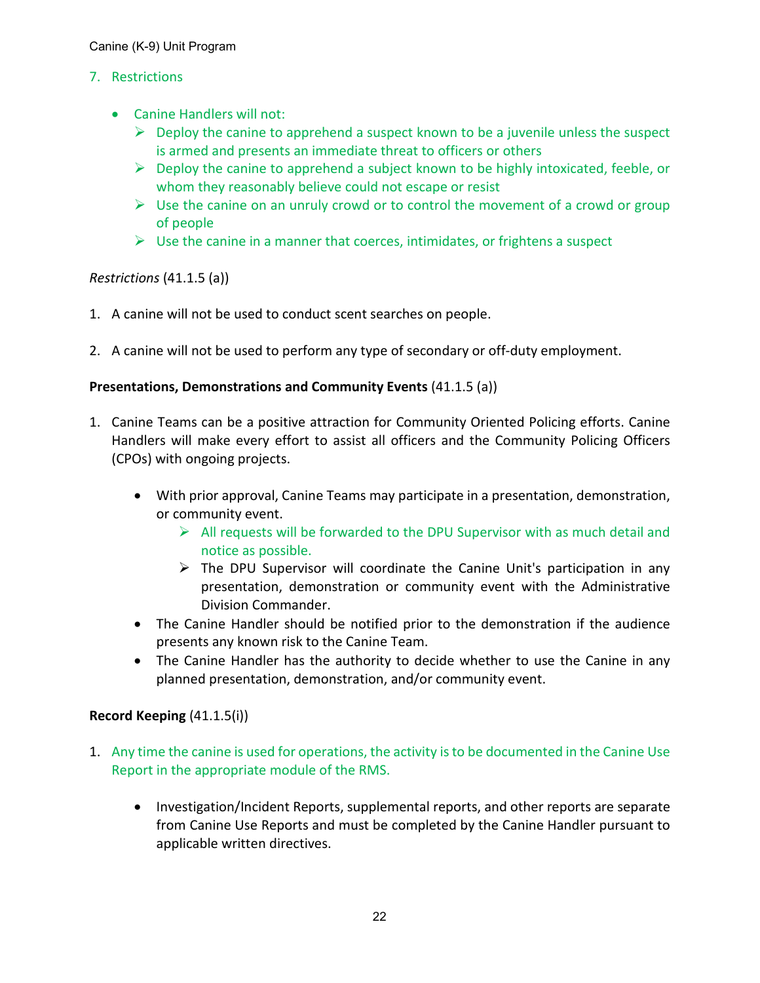# 7. Restrictions

- Canine Handlers will not:
	- $\triangleright$  Deploy the canine to apprehend a suspect known to be a juvenile unless the suspect is armed and presents an immediate threat to officers or others
	- $\triangleright$  Deploy the canine to apprehend a subject known to be highly intoxicated, feeble, or whom they reasonably believe could not escape or resist
	- $\triangleright$  Use the canine on an unruly crowd or to control the movement of a crowd or group of people
	- $\triangleright$  Use the canine in a manner that coerces, intimidates, or frightens a suspect

# *Restrictions* (41.1.5 (a))

- 1. A canine will not be used to conduct scent searches on people.
- 2. A canine will not be used to perform any type of secondary or off-duty employment.

# **Presentations, Demonstrations and Community Events** (41.1.5 (a))

- 1. Canine Teams can be a positive attraction for Community Oriented Policing efforts. Canine Handlers will make every effort to assist all officers and the Community Policing Officers (CPOs) with ongoing projects.
	- With prior approval, Canine Teams may participate in a presentation, demonstration, or community event.
		- $\triangleright$  All requests will be forwarded to the DPU Supervisor with as much detail and notice as possible.
		- $\triangleright$  The DPU Supervisor will coordinate the Canine Unit's participation in any presentation, demonstration or community event with the Administrative Division Commander.
	- The Canine Handler should be notified prior to the demonstration if the audience presents any known risk to the Canine Team.
	- The Canine Handler has the authority to decide whether to use the Canine in any planned presentation, demonstration, and/or community event.

#### **Record Keeping** (41.1.5(i))

- 1. Any time the canine is used for operations, the activity is to be documented in the Canine Use Report in the appropriate module of the RMS.
	- Investigation/Incident Reports, supplemental reports, and other reports are separate from Canine Use Reports and must be completed by the Canine Handler pursuant to applicable written directives.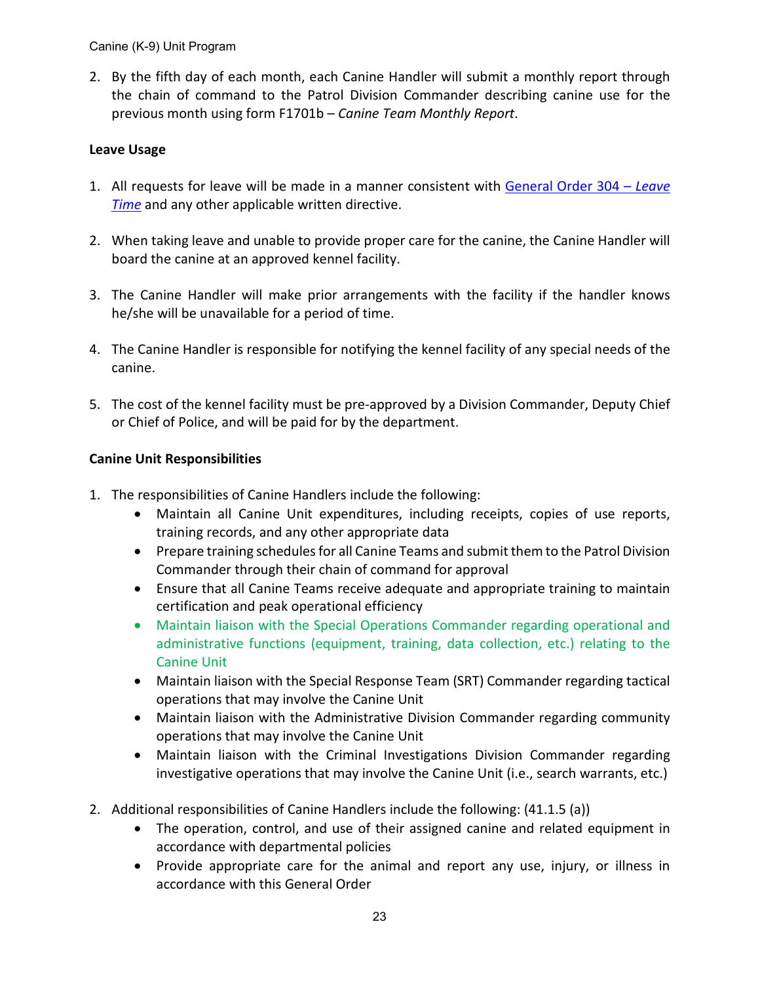2. By the fifth day of each month, each Canine Handler will submit a monthly report through the chain of command to the Patrol Division Commander describing canine use for the previous month using form F1701b – *Canine Team Monthly Report*.

# **Leave Usage**

- 1. All requests for leave will be made in a manner consistent with [General Order 304 –](https://powerdms.com/link/APEXPD/document/?id=442386) *Leave [Time](https://powerdms.com/link/APEXPD/document/?id=442386)* and any other applicable written directive.
- 2. When taking leave and unable to provide proper care for the canine, the Canine Handler will board the canine at an approved kennel facility.
- 3. The Canine Handler will make prior arrangements with the facility if the handler knows he/she will be unavailable for a period of time.
- 4. The Canine Handler is responsible for notifying the kennel facility of any special needs of the canine.
- 5. The cost of the kennel facility must be pre-approved by a Division Commander, Deputy Chief or Chief of Police, and will be paid for by the department.

# **Canine Unit Responsibilities**

- 1. The responsibilities of Canine Handlers include the following:
	- Maintain all Canine Unit expenditures, including receipts, copies of use reports, training records, and any other appropriate data
	- Prepare training schedules for all Canine Teams and submit them to the Patrol Division Commander through their chain of command for approval
	- Ensure that all Canine Teams receive adequate and appropriate training to maintain certification and peak operational efficiency
	- Maintain liaison with the Special Operations Commander regarding operational and administrative functions (equipment, training, data collection, etc.) relating to the Canine Unit
	- Maintain liaison with the Special Response Team (SRT) Commander regarding tactical operations that may involve the Canine Unit
	- Maintain liaison with the Administrative Division Commander regarding community operations that may involve the Canine Unit
	- Maintain liaison with the Criminal Investigations Division Commander regarding investigative operations that may involve the Canine Unit (i.e., search warrants, etc.)
- 2. Additional responsibilities of Canine Handlers include the following: (41.1.5 (a))
	- The operation, control, and use of their assigned canine and related equipment in accordance with departmental policies
	- Provide appropriate care for the animal and report any use, injury, or illness in accordance with this General Order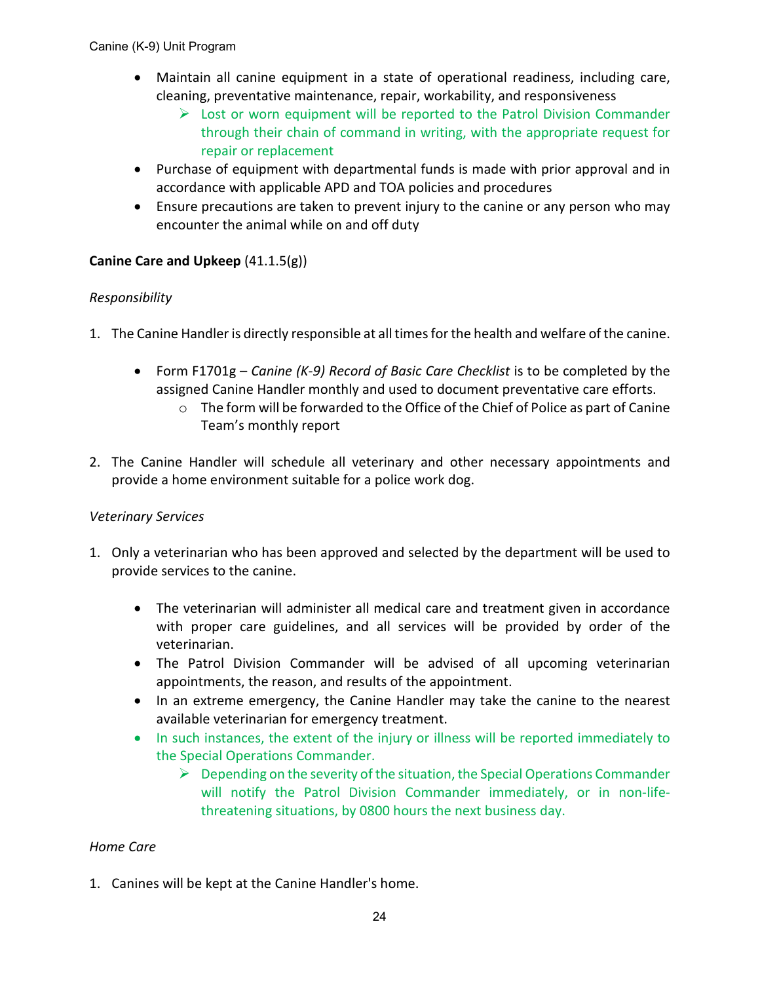- Maintain all canine equipment in a state of operational readiness, including care, cleaning, preventative maintenance, repair, workability, and responsiveness
	- $\triangleright$  Lost or worn equipment will be reported to the Patrol Division Commander through their chain of command in writing, with the appropriate request for repair or replacement
- Purchase of equipment with departmental funds is made with prior approval and in accordance with applicable APD and TOA policies and procedures
- Ensure precautions are taken to prevent injury to the canine or any person who may encounter the animal while on and off duty

# **Canine Care and Upkeep** (41.1.5(g))

# *Responsibility*

- 1. The Canine Handler is directly responsible at all times for the health and welfare of the canine.
	- Form F1701g *Canine (K-9) Record of Basic Care Checklist* is to be completed by the assigned Canine Handler monthly and used to document preventative care efforts.
		- o The form will be forwarded to the Office of the Chief of Police as part of Canine Team's monthly report
- 2. The Canine Handler will schedule all veterinary and other necessary appointments and provide a home environment suitable for a police work dog.

#### *Veterinary Services*

- 1. Only a veterinarian who has been approved and selected by the department will be used to provide services to the canine.
	- The veterinarian will administer all medical care and treatment given in accordance with proper care guidelines, and all services will be provided by order of the veterinarian.
	- The Patrol Division Commander will be advised of all upcoming veterinarian appointments, the reason, and results of the appointment.
	- In an extreme emergency, the Canine Handler may take the canine to the nearest available veterinarian for emergency treatment.
	- In such instances, the extent of the injury or illness will be reported immediately to the Special Operations Commander.
		- $\triangleright$  Depending on the severity of the situation, the Special Operations Commander will notify the Patrol Division Commander immediately, or in non-lifethreatening situations, by 0800 hours the next business day.

# *Home Care*

1. Canines will be kept at the Canine Handler's home.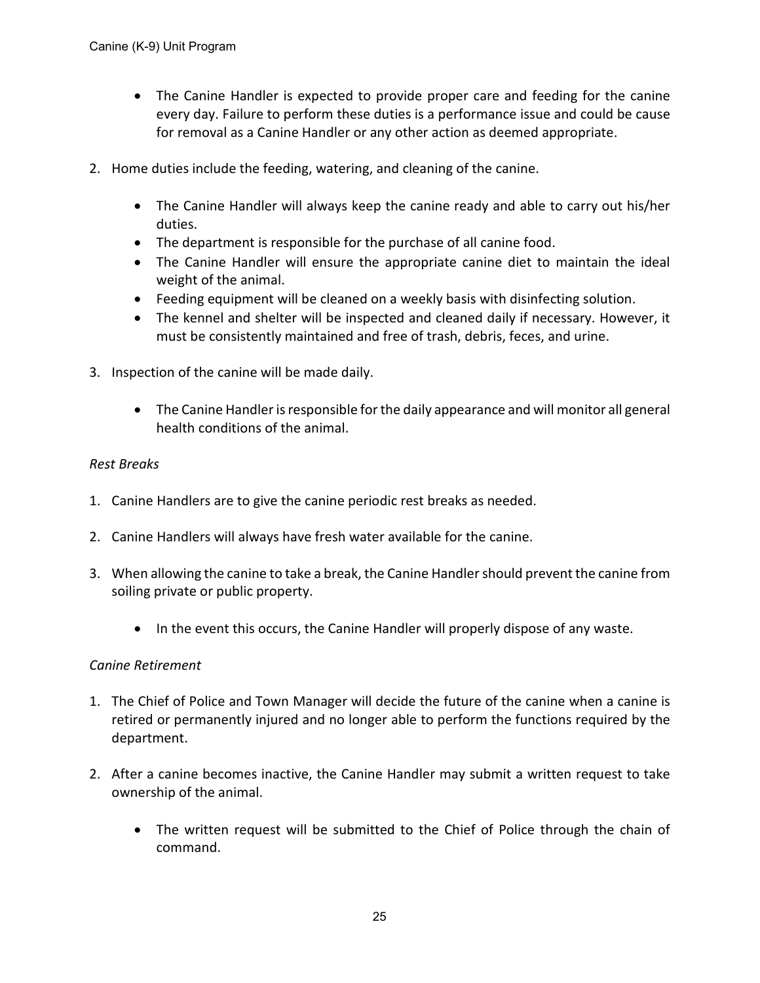- The Canine Handler is expected to provide proper care and feeding for the canine every day. Failure to perform these duties is a performance issue and could be cause for removal as a Canine Handler or any other action as deemed appropriate.
- 2. Home duties include the feeding, watering, and cleaning of the canine.
	- The Canine Handler will always keep the canine ready and able to carry out his/her duties.
	- The department is responsible for the purchase of all canine food.
	- The Canine Handler will ensure the appropriate canine diet to maintain the ideal weight of the animal.
	- Feeding equipment will be cleaned on a weekly basis with disinfecting solution.
	- The kennel and shelter will be inspected and cleaned daily if necessary. However, it must be consistently maintained and free of trash, debris, feces, and urine.
- 3. Inspection of the canine will be made daily.
	- The Canine Handler is responsible for the daily appearance and will monitor all general health conditions of the animal.

#### *Rest Breaks*

- 1. Canine Handlers are to give the canine periodic rest breaks as needed.
- 2. Canine Handlers will always have fresh water available for the canine.
- 3. When allowing the canine to take a break, the Canine Handler should prevent the canine from soiling private or public property.
	- In the event this occurs, the Canine Handler will properly dispose of any waste.

#### *Canine Retirement*

- 1. The Chief of Police and Town Manager will decide the future of the canine when a canine is retired or permanently injured and no longer able to perform the functions required by the department.
- 2. After a canine becomes inactive, the Canine Handler may submit a written request to take ownership of the animal.
	- The written request will be submitted to the Chief of Police through the chain of command.